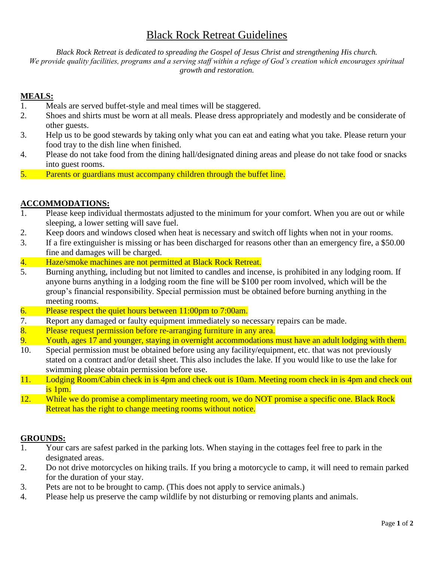# Black Rock Retreat Guidelines

*Black Rock Retreat is dedicated to spreading the Gospel of Jesus Christ and strengthening His church. We provide quality facilities, programs and a serving staff within a refuge of God's creation which encourages spiritual growth and restoration.*

### **MEALS:**

- 1. Meals are served buffet-style and meal times will be staggered.
- 2. Shoes and shirts must be worn at all meals. Please dress appropriately and modestly and be considerate of other guests.
- 3. Help us to be good stewards by taking only what you can eat and eating what you take. Please return your food tray to the dish line when finished.
- 4. Please do not take food from the dining hall/designated dining areas and please do not take food or snacks into guest rooms.
- 5. Parents or guardians must accompany children through the buffet line.

### **ACCOMMODATIONS:**

- 1. Please keep individual thermostats adjusted to the minimum for your comfort. When you are out or while sleeping, a lower setting will save fuel.
- 2. Keep doors and windows closed when heat is necessary and switch off lights when not in your rooms.
- 3. If a fire extinguisher is missing or has been discharged for reasons other than an emergency fire, a \$50.00 fine and damages will be charged.
- 4. Haze/smoke machines are not permitted at Black Rock Retreat.
- 5. Burning anything, including but not limited to candles and incense, is prohibited in any lodging room. If anyone burns anything in a lodging room the fine will be \$100 per room involved, which will be the group's financial responsibility. Special permission must be obtained before burning anything in the meeting rooms.
- 6. Please respect the quiet hours between 11:00pm to 7:00am.
- 7. Report any damaged or faulty equipment immediately so necessary repairs can be made.
- 8. Please request permission before re-arranging furniture in any area.
- 9. Youth, ages 17 and younger, staying in overnight accommodations must have an adult lodging with them.
- 10. Special permission must be obtained before using any facility/equipment, etc. that was not previously stated on a contract and/or detail sheet. This also includes the lake. If you would like to use the lake for swimming please obtain permission before use.
- 11. Lodging Room/Cabin check in is 4pm and check out is 10am. Meeting room check in is 4pm and check out is 1pm.
- 12. While we do promise a complimentary meeting room, we do NOT promise a specific one. Black Rock Retreat has the right to change meeting rooms without notice.

#### **GROUNDS:**

- 1. Your cars are safest parked in the parking lots. When staying in the cottages feel free to park in the designated areas.
- 2. Do not drive motorcycles on hiking trails. If you bring a motorcycle to camp, it will need to remain parked for the duration of your stay.
- 3. Pets are not to be brought to camp. (This does not apply to service animals.)
- 4. Please help us preserve the camp wildlife by not disturbing or removing plants and animals.